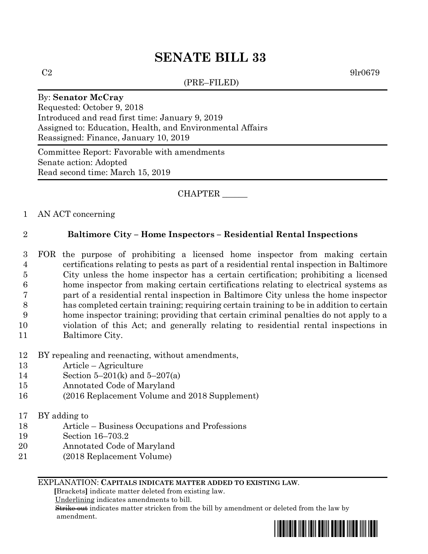# **SENATE BILL 33**

(PRE–FILED)

 $C2 \t\t 9lr0679$ 

#### By: **Senator McCray**

Requested: October 9, 2018 Introduced and read first time: January 9, 2019 Assigned to: Education, Health, and Environmental Affairs Reassigned: Finance, January 10, 2019

Committee Report: Favorable with amendments Senate action: Adopted Read second time: March 15, 2019

## CHAPTER \_\_\_\_\_\_

### 1 AN ACT concerning

## 2 **Baltimore City – Home Inspectors – Residential Rental Inspections**

 FOR the purpose of prohibiting a licensed home inspector from making certain certifications relating to pests as part of a residential rental inspection in Baltimore City unless the home inspector has a certain certification; prohibiting a licensed home inspector from making certain certifications relating to electrical systems as part of a residential rental inspection in Baltimore City unless the home inspector has completed certain training; requiring certain training to be in addition to certain home inspector training; providing that certain criminal penalties do not apply to a violation of this Act; and generally relating to residential rental inspections in Baltimore City.

- 12 BY repealing and reenacting, without amendments,
- 13 Article Agriculture
- 14 Section 5–201(k) and 5–207(a)
- 15 Annotated Code of Maryland
- 16 (2016 Replacement Volume and 2018 Supplement)
- 17 BY adding to
- 18 Article Business Occupations and Professions
- 19 Section 16–703.2
- 20 Annotated Code of Maryland
- 21 (2018 Replacement Volume)

#### EXPLANATION: **CAPITALS INDICATE MATTER ADDED TO EXISTING LAW**.

 **[**Brackets**]** indicate matter deleted from existing law.

Underlining indicates amendments to bill.

 Strike out indicates matter stricken from the bill by amendment or deleted from the law by amendment.

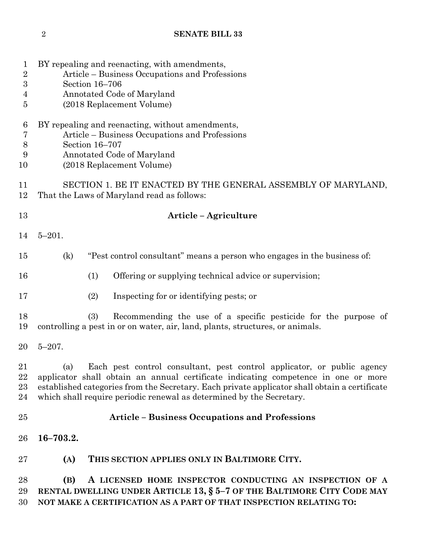# **SENATE BILL 33**

| $\mathbf 1$<br>$\sqrt{2}$ | BY repealing and reenacting, with amendments,<br>Article – Business Occupations and Professions                                                                       |
|---------------------------|-----------------------------------------------------------------------------------------------------------------------------------------------------------------------|
| $\boldsymbol{3}$          | Section 16-706                                                                                                                                                        |
| 4                         | Annotated Code of Maryland                                                                                                                                            |
| $\overline{5}$            | (2018 Replacement Volume)                                                                                                                                             |
| 6                         | BY repealing and reenacting, without amendments,                                                                                                                      |
| $\overline{7}$            | Article - Business Occupations and Professions                                                                                                                        |
| $8\,$                     | Section 16-707                                                                                                                                                        |
| 9<br>10                   | Annotated Code of Maryland<br>(2018 Replacement Volume)                                                                                                               |
| 11<br>12                  | SECTION 1. BE IT ENACTED BY THE GENERAL ASSEMBLY OF MARYLAND,<br>That the Laws of Maryland read as follows:                                                           |
| 13                        | Article – Agriculture                                                                                                                                                 |
| 14                        | $5 - 201.$                                                                                                                                                            |
| 15                        | "Pest control consultant" means a person who engages in the business of:<br>(k)                                                                                       |
| 16                        | (1)<br>Offering or supplying technical advice or supervision;                                                                                                         |
| 17                        | (2)<br>Inspecting for or identifying pests; or                                                                                                                        |
| 18<br>19                  | (3)<br>Recommending the use of a specific pesticide for the purpose of<br>controlling a pest in or on water, air, land, plants, structures, or animals.               |
|                           |                                                                                                                                                                       |
| 20                        | $5 - 207$ .                                                                                                                                                           |
| 21                        | (a)<br>Each pest control consultant, pest control applicator, or public agency                                                                                        |
| 22                        | applicator shall obtain an annual certificate indicating competence in one or more                                                                                    |
| 23<br>24                  | established categories from the Secretary. Each private applicator shall obtain a certificate<br>which shall require periodic renewal as determined by the Secretary. |
| 25                        | <b>Article - Business Occupations and Professions</b>                                                                                                                 |
| 26                        | $16 - 703.2.$                                                                                                                                                         |
| 27                        | THIS SECTION APPLIES ONLY IN BALTIMORE CITY.<br>(A)                                                                                                                   |
| 28                        | A LICENSED HOME INSPECTOR CONDUCTING AN INSPECTION OF A<br>(B)                                                                                                        |
| 29                        | RENTAL DWELLING UNDER ARTICLE 13, § 5-7 OF THE BALTIMORE CITY CODE MAY                                                                                                |
| 30                        | NOT MAKE A CERTIFICATION AS A PART OF THAT INSPECTION RELATING TO:                                                                                                    |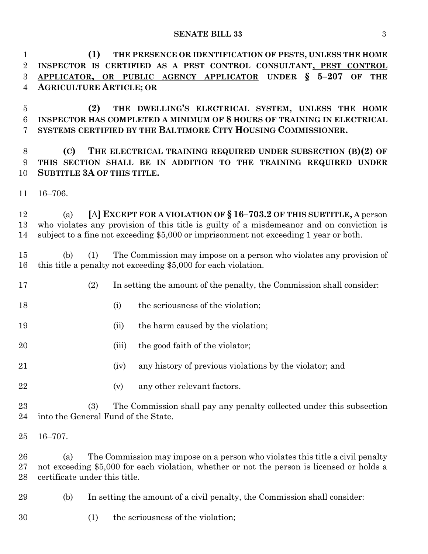**SENATE BILL 33** 3

 **(1) THE PRESENCE OR IDENTIFICATION OF PESTS, UNLESS THE HOME INSPECTOR IS CERTIFIED AS A PEST CONTROL CONSULTANT, PEST CONTROL APPLICATOR, OR PUBLIC AGENCY APPLICATOR UNDER § 5–207 OF THE AGRICULTURE ARTICLE; OR** 

 **(2) THE DWELLING'S ELECTRICAL SYSTEM, UNLESS THE HOME INSPECTOR HAS COMPLETED A MINIMUM OF 8 HOURS OF TRAINING IN ELECTRICAL SYSTEMS CERTIFIED BY THE BALTIMORE CITY HOUSING COMMISSIONER.**

 **(C) THE ELECTRICAL TRAINING REQUIRED UNDER SUBSECTION (B)(2) OF THIS SECTION SHALL BE IN ADDITION TO THE TRAINING REQUIRED UNDER SUBTITLE 3A OF THIS TITLE.**

16–706.

 (a) **[**A**] EXCEPT FOR A VIOLATION OF § 16–703.2 OF THIS SUBTITLE, A** person who violates any provision of this title is guilty of a misdemeanor and on conviction is subject to a fine not exceeding \$5,000 or imprisonment not exceeding 1 year or both.

 (b) (1) The Commission may impose on a person who violates any provision of this title a penalty not exceeding \$5,000 for each violation.

- (2) In setting the amount of the penalty, the Commission shall consider:
- 18 (i) the seriousness of the violation;
- 19 (ii) the harm caused by the violation;
- 20 (iii) the good faith of the violator;
- (iv) any history of previous violations by the violator; and
- 22 (v) any other relevant factors.

 (3) The Commission shall pay any penalty collected under this subsection into the General Fund of the State.

16–707.

 (a) The Commission may impose on a person who violates this title a civil penalty not exceeding \$5,000 for each violation, whether or not the person is licensed or holds a certificate under this title.

- (b) In setting the amount of a civil penalty, the Commission shall consider:
- (1) the seriousness of the violation;